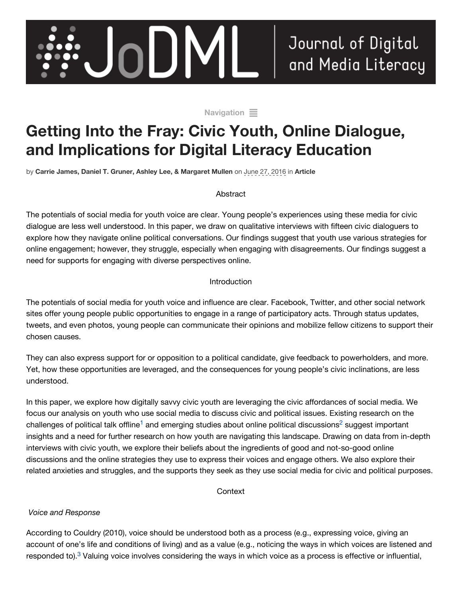

#### [Navigation](http://www.jodml.org/2016/06/27/getting-into-the-fray-civic-youth-online-dialogue-and-implications-for-digital-literacy-education/#navigation)  $\equiv$

# **Getting Into the Fray: Civic Youth, Online Dialogue, and Implications for Digital Literacy Education**

by **[Carrie James, Daniel T. Gruner, Ashley Lee, & Margaret Mullen](http://www.jodml.org/author/carriejamesetal/)** on June 27, 2016 in **[Article](http://www.jodml.org/category/article/)**

#### Abstract

The potentials of social media for youth voice are clear. Young people's experiences using these media for civic dialogue are less well understood. In this paper, we draw on qualitative interviews with fifteen civic dialoguers to explore how they navigate online political conversations. Our findings suggest that youth use various strategies for online engagement; however, they struggle, especially when engaging with disagreements. Our findings suggest a need for supports for engaging with diverse perspectives online.

#### Introduction

The potentials of social media for youth voice and influence are clear. Facebook, Twitter, and other social network sites offer young people public opportunities to engage in a range of participatory acts. Through status updates, tweets, and even photos, young people can communicate their opinions and mobilize fellow citizens to support their chosen causes.

They can also express support for or opposition to a political candidate, give feedback to powerholders, and more. Yet, how these opportunities are leveraged, and the consequences for young people's civic inclinations, are less understood.

In this paper, we explore how digitally savvy civic youth are leveraging the civic affordances of social media. We focus our analysis on youth who use social media to discuss civic and political issues. Existing research on the challenges of political talk offline<sup>1</sup> and emerging studies about onlin[e](http://www.jodml.org/2016/06/27/getting-into-the-fray-civic-youth-online-dialogue-and-implications-for-digital-literacy-education/#footnote-1) political discussions<sup>2</sup> suggest important insights and a need for further research on how youth are navigating this landscape. Drawing on data from in-depth interviews with civic youth, we explore their beliefs about the ingredients of good and not-so-good online discussions and the online strategies they use to express their voices and engage others. We also explore their related anxieties and struggles, and the supports they seek as they use social media for civic and political purposes.

**Context** 

#### *Voice and Response*

According to Couldry (2010), voice should be understood both as a process (e.g., expressing voice, giving an account of one's life and conditions of living) and as a value (e.g., noticing the ways in which voices are listened and responded to).<sup>3</sup> Valuing voice involves considering the ways in which voice as a process is effective or influential,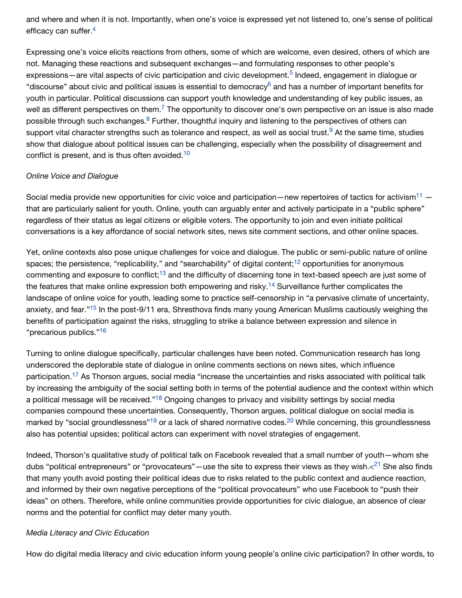and where and when it is not. Importantly, when one's voice is expressed yet not listened to, one's sense of political efficacy can suffer.<sup>[4](http://www.jodml.org/2016/06/27/getting-into-the-fray-civic-youth-online-dialogue-and-implications-for-digital-literacy-education/#footnote-4)</sup>

Expressing one's voice elicits reactions from others, some of which are welcome, even desired, others of which are not. Managing these reactions and subsequent exchanges—and formulating responses to other people's expressions—are vital aspects of civic participation and civic development.<sup>5</sup> Indeed, engagement in dialogue or "discourse"about civic and political issues is essential to democracy<sup>6</sup> and has a number of important benefits for youth in particular. Political discussions can support youth knowledge and understanding of key public issues, as well as different perspectives on them.<sup>7</sup> The opportunity to discover one's own perspective on an issue is also made possible through such exchanges.<sup>8</sup> Further, thoughtful inquiry and listening to the perspectives of others can support vital character strengths such as tolerance and respect, as well as social trust[.](http://www.jodml.org/2016/06/27/getting-into-the-fray-civic-youth-online-dialogue-and-implications-for-digital-literacy-education/#footnote-9)<sup>9</sup> At the same time, studies show that dialogue about political issues can be challenging, especially when the possibility of disagreement and conflict is present, and is thus often avoided. $^{10}$  $^{10}$  $^{10}$ 

#### *Online Voice and Dialogue*

Social media provide new opportunities for civic voice and participation—new repertoires of tactics for activism<sup>11</sup> that are particularly salient for youth. Online, youth can arguably enter and actively participate in a "public sphere" regardless of their status as legal citizens or eligible voters. The opportunity to join and even initiate political conversations is a key affordance of social network sites, news site comment sections, and other online spaces.

Yet, online contexts also pose unique challenges for voice and dialogue. The public or semi-public nature of online spaces[;](http://www.jodml.org/2016/06/27/getting-into-the-fray-civic-youth-online-dialogue-and-implications-for-digital-literacy-education/#footnote-12) the persistence, "replicability," and "searchability" of digital content;<sup>12</sup> opportunities for anonymous commenting and exposure to conflict;<sup>13</sup> and the difficulty of discerning tone in text-based speech are just some of the features that make online expression both empowering and risky.<sup>14</sup> Surveillance further complicates the landscape of online voice for youth, leading some to practice self-censorship in "a pervasive climate of uncertainty, anxiety, and fear.["](http://www.jodml.org/2016/06/27/getting-into-the-fray-civic-youth-online-dialogue-and-implications-for-digital-literacy-education/#footnote-15)<sup>15</sup> In the post-9/11 era, Shresthova finds many young American Muslims cautiously weighing the benefits of participation against the risks, struggling to strike a balance between expression and silence in "precarious publics."<sup>[16](http://www.jodml.org/2016/06/27/getting-into-the-fray-civic-youth-online-dialogue-and-implications-for-digital-literacy-education/#footnote-16)</sup>

Turning to online dialogue specifically, particular challenges have been noted. Communication research has long underscored the deplorable state of dialogue in online comments sections on news sites, which influence participation[.](http://www.jodml.org/2016/06/27/getting-into-the-fray-civic-youth-online-dialogue-and-implications-for-digital-literacy-education/#footnote-17)<sup>17</sup> As Thorson argues, social media "increase the uncertainties and risks associated with political talk by increasing the ambiguity of the social setting both in terms of the potential audience and the context within which a political message will be received."<sup>18</sup> Ongoing changes to privacy and visibility settings by social media companies compound these uncertainties. Consequently, Thorson argues, political dialogue on social media is markedby "social groundlessness"<sup>19</sup> or a lack of shared normative codes[.](http://www.jodml.org/2016/06/27/getting-into-the-fray-civic-youth-online-dialogue-and-implications-for-digital-literacy-education/#footnote-20)<sup>20</sup> While concerning, this groundlessness also has potential upsides; political actors can experiment with novel strategies of engagement.

Indeed, Thorson's qualitative study of political talk on Facebook revealed that a small number of youth—whom she dubs"political entrepreneurs" or "provocateurs"—use the site to express their views as they wish. $<^{21}$  She also finds that many youth avoid posting their political ideas due to risks related to the public context and audience reaction, and informed by their own negative perceptions of the "political provocateurs" who use Facebook to "push their ideas" on others. Therefore, while online communities provide opportunities for civic dialogue, an absence of clear norms and the potential for conflict may deter many youth.

#### *Media Literacy and Civic Education*

How do digital media literacy and civic education inform young people's online civic participation? In other words, to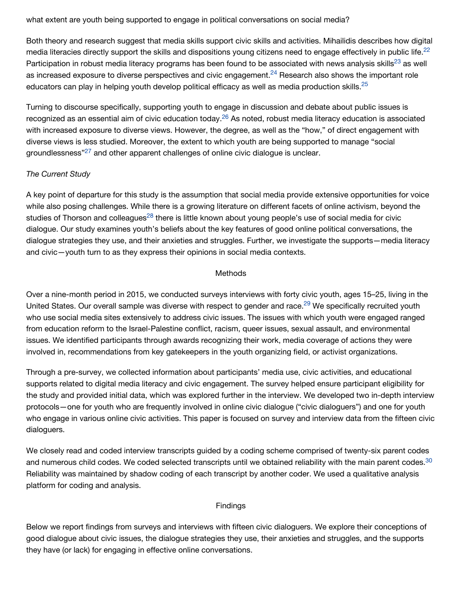what extent are youth being supported to engage in political conversations on social media?

Both theory and research suggest that media skills support civic skills and activities. Mihailidis describes how digital media literacies directly support the skills and dispositions young citizens need to engage effectively in public life.<sup>[22](http://www.jodml.org/2016/06/27/getting-into-the-fray-civic-youth-online-dialogue-and-implications-for-digital-literacy-education/#footnote-22)</sup> Participation in robust media literacy program[s](http://www.jodml.org/2016/06/27/getting-into-the-fray-civic-youth-online-dialogue-and-implications-for-digital-literacy-education/#footnote-23) has been found to be associated with news analysis skills<sup>23</sup> as well as increased exposure to diverse perspectives and civic engagement.<sup>24</sup> Research also shows the important role educators can play in helping youth develop political efficacy as well as media production skills. $^{25}$  $^{25}$  $^{25}$ 

Turning to discourse specifically, supporting youth to engage in discussion and debate about public issues is recognized as an essential aim of civic education today.<sup>26</sup> As noted, robust media literacy education is associated with increased exposure to diverse views. However, the degree, as well as the "how," of direct engagement with diverse views is less studied. Moreover, the extent to which youth are being supported to manage "social groundlessness"<sup>27</sup> and other apparent challenges of online civic dialogue is unclear.

#### *The Current Study*

A key point of departure for this study is the assumption that social media provide extensive opportunities for voice while also posing challenges. While there is a growing literature on different facets of online activism, beyond the studie[s](http://www.jodml.org/2016/06/27/getting-into-the-fray-civic-youth-online-dialogue-and-implications-for-digital-literacy-education/#footnote-28) of Thorson and colleagues<sup>28</sup> there is little known about young people's use of social media for civic dialogue. Our study examines youth's beliefs about the key features of good online political conversations, the dialogue strategies they use, and their anxieties and struggles. Further, we investigate the supports—media literacy and civic—youth turn to as they express their opinions in social media contexts.

#### **Methods**

Over a nine-month period in 2015, we conducted surveys interviews with forty civic youth, ages 15–25, living in the United States[.](http://www.jodml.org/2016/06/27/getting-into-the-fray-civic-youth-online-dialogue-and-implications-for-digital-literacy-education/#footnote-29) Our overall sample was diverse with respect to gender and race.<sup>29</sup> We specifically recruited youth who use social media sites extensively to address civic issues. The issues with which youth were engaged ranged from education reform to the Israel-Palestine conflict, racism, queer issues, sexual assault, and environmental issues. We identified participants through awards recognizing their work, media coverage of actions they were involved in, recommendations from key gatekeepers in the youth organizing field, or activist organizations.

Through a pre-survey, we collected information about participants' media use, civic activities, and educational supports related to digital media literacy and civic engagement. The survey helped ensure participant eligibility for the study and provided initial data, which was explored further in the interview. We developed two in-depth interview protocols—one for youth who are frequently involved in online civic dialogue ("civic dialoguers") and one for youth who engage in various online civic activities. This paper is focused on survey and interview data from the fifteen civic dialoguers.

We closely read and coded interview transcripts guided by a coding scheme comprised of twenty-six parent codes and numerous child codes. We coded selected transcripts until we obtained reliability with the main parent codes.<sup>[30](http://www.jodml.org/2016/06/27/getting-into-the-fray-civic-youth-online-dialogue-and-implications-for-digital-literacy-education/#footnote-30)</sup> Reliability was maintained by shadow coding of each transcript by another coder. We used a qualitative analysis platform for coding and analysis.

#### Findings

Below we report findings from surveys and interviews with fifteen civic dialoguers. We explore their conceptions of good dialogue about civic issues, the dialogue strategies they use, their anxieties and struggles, and the supports they have (or lack) for engaging in effective online conversations.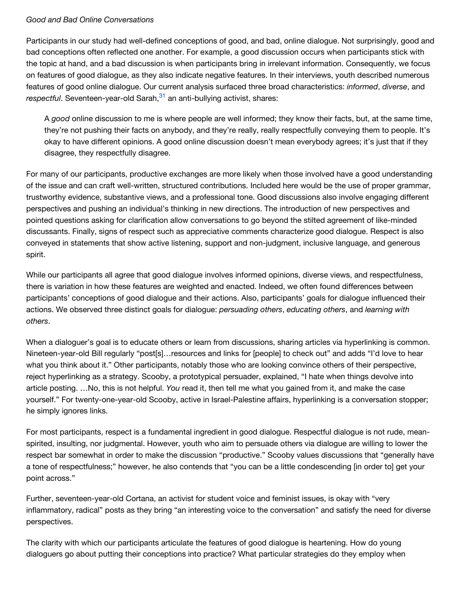#### *Good and Bad Online Conversations*

Participants in our study had well-defined conceptions of good, and bad, online dialogue. Not surprisingly, good and bad conceptions often reflected one another. For example, a good discussion occurs when participants stick with the topic at hand, and a bad discussion is when participants bring in irrelevant information. Consequently, we focus on features of good dialogue, as they also indicate negative features. In their interviews, youth described numerous features of good online dialogue. Our current analysis surfaced three broad characteristics: *informed*, *diverse*, and respectful.Seventeen-year-old Sarah,<sup>31</sup> an anti-bullying activist, shares:

A *good* online discussion to me is where people are well informed; they know their facts, but, at the same time, they're not pushing their facts on anybody, and they're really, really respectfully conveying them to people. It's okay to have different opinions. A good online discussion doesn't mean everybody agrees; it's just that if they disagree, they respectfully disagree.

For many of our participants, productive exchanges are more likely when those involved have a good understanding of the issue and can craft well-written, structured contributions. Included here would be the use of proper grammar, trustworthy evidence, substantive views, and a professional tone. Good discussions also involve engaging different perspectives and pushing an individual's thinking in new directions. The introduction of new perspectives and pointed questions asking for clarification allow conversations to go beyond the stilted agreement of like-minded discussants. Finally, signs of respect such as appreciative comments characterize good dialogue. Respect is also conveyed in statements that show active listening, support and non-judgment, inclusive language, and generous spirit.

While our participants all agree that good dialogue involves informed opinions, diverse views, and respectfulness, there is variation in how these features are weighted and enacted. Indeed, we often found differences between participants' conceptions of good dialogue and their actions. Also, participants' goals for dialogue influenced their actions. We observed three distinct goals for dialogue: *persuading others*, *educating others*, and *learning with others*.

When a dialoguer's goal is to educate others or learn from discussions, sharing articles via hyperlinking is common. Nineteen-year-old Bill regularly "post[s]…resources and links for [people] to check out" and adds "I'd love to hear what you think about it." Other participants, notably those who are looking convince others of their perspective, reject hyperlinking as a strategy. Scooby, a prototypical persuader, explained, "I hate when things devolve into article posting. …No, this is not helpful. *You* read it, then tell me what you gained from it, and make the case yourself." For twenty-one-year-old Scooby, active in Israel-Palestine affairs, hyperlinking is a conversation stopper; he simply ignores links.

For most participants, respect is a fundamental ingredient in good dialogue. Respectful dialogue is not rude, meanspirited, insulting, nor judgmental. However, youth who aim to persuade others via dialogue are willing to lower the respect bar somewhat in order to make the discussion "productive." Scooby values discussions that "generally have a tone of respectfulness;" however, he also contends that "you can be a little condescending [in order to] get your point across."

Further, seventeen-year-old Cortana, an activist for student voice and feminist issues, is okay with "very inflammatory, radical" posts as they bring "an interesting voice to the conversation" and satisfy the need for diverse perspectives.

The clarity with which our participants articulate the features of good dialogue is heartening. How do young dialoguers go about putting their conceptions into practice? What particular strategies do they employ when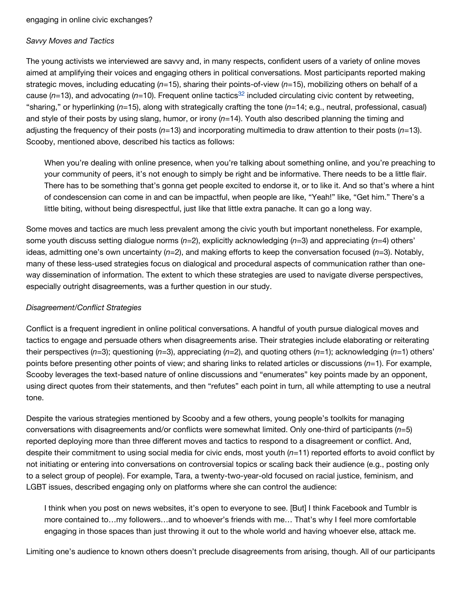#### *Savvy Moves and Tactics*

The young activists we interviewed are savvy and, in many respects, confident users of a variety of online moves aimed at amplifying their voices and engaging others in political conversations. Most participants reported making strategic moves, including educating (*n*=15), sharing their points-of-view (*n*=15), mobilizing others on behalf of a cause( $n=13$ ), and advocating ( $n=10$ ). Frequent online tactics<sup>32</sup> included circulating civic content by retweeting, "sharing," or hyperlinking (*n*=15), along with strategically crafting the tone (*n*=14; e.g., neutral, professional, casual) and style of their posts by using slang, humor, or irony (*n*=14). Youth also described planning the timing and adjusting the frequency of their posts (*n*=13) and incorporating multimedia to draw attention to their posts (*n*=13). Scooby, mentioned above, described his tactics as follows:

When you're dealing with online presence, when you're talking about something online, and you're preaching to your community of peers, it's not enough to simply be right and be informative. There needs to be a little flair. There has to be something that's gonna get people excited to endorse it, or to like it. And so that's where a hint of condescension can come in and can be impactful, when people are like, "Yeah!" like, "Get him." There's a little biting, without being disrespectful, just like that little extra panache. It can go a long way.

Some moves and tactics are much less prevalent among the civic youth but important nonetheless. For example, some youth discuss setting dialogue norms (*n*=2), explicitly acknowledging (*n*=3) and appreciating (*n*=4) others' ideas, admitting one's own uncertainty (*n*=2), and making efforts to keep the conversation focused (*n*=3). Notably, many of these less-used strategies focus on dialogical and procedural aspects of communication rather than oneway dissemination of information. The extent to which these strategies are used to navigate diverse perspectives, especially outright disagreements, was a further question in our study.

#### *Disagreement/Conflict Strategies*

Conflict is a frequent ingredient in online political conversations. A handful of youth pursue dialogical moves and tactics to engage and persuade others when disagreements arise. Their strategies include elaborating or reiterating their perspectives (*n*=3); questioning (*n*=3), appreciating (*n*=2), and quoting others (*n*=1); acknowledging (*n*=1) others' points before presenting other points of view; and sharing links to related articles or discussions (*n*=1). For example, Scooby leverages the text-based nature of online discussions and "enumerates" key points made by an opponent, using direct quotes from their statements, and then "refutes" each point in turn, all while attempting to use a neutral tone.

Despite the various strategies mentioned by Scooby and a few others, young people's toolkits for managing conversations with disagreements and/or conflicts were somewhat limited. Only one-third of participants (*n*=5) reported deploying more than three different moves and tactics to respond to a disagreement or conflict. And, despite their commitment to using social media for civic ends, most youth (*n*=11) reported efforts to avoid conflict by not initiating or entering into conversations on controversial topics or scaling back their audience (e.g., posting only to a select group of people). For example, Tara, a twenty-two-year-old focused on racial justice, feminism, and LGBT issues, described engaging only on platforms where she can control the audience:

I think when you post on news websites, it's open to everyone to see. [But] I think Facebook and Tumblr is more contained to…my followers…and to whoever's friends with me… That's why I feel more comfortable engaging in those spaces than just throwing it out to the whole world and having whoever else, attack me.

Limiting one's audience to known others doesn't preclude disagreements from arising, though. All of our participants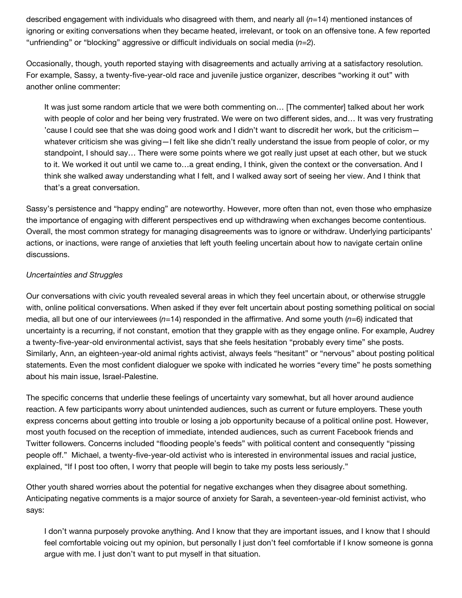described engagement with individuals who disagreed with them, and nearly all (*n*=14) mentioned instances of ignoring or exiting conversations when they became heated, irrelevant, or took on an offensive tone. A few reported "unfriending" or "blocking" aggressive or difficult individuals on social media (*n*=2).

Occasionally, though, youth reported staying with disagreements and actually arriving at a satisfactory resolution. For example, Sassy, a twenty-five-year-old race and juvenile justice organizer, describes "working it out" with another online commenter:

It was just some random article that we were both commenting on… [The commenter] talked about her work with people of color and her being very frustrated. We were on two different sides, and… It was very frustrating 'cause I could see that she was doing good work and I didn't want to discredit her work, but the criticism whatever criticism she was giving—I felt like she didn't really understand the issue from people of color, or my standpoint, I should say… There were some points where we got really just upset at each other, but we stuck to it. We worked it out until we came to…a great ending, I think, given the context or the conversation. And I think she walked away understanding what I felt, and I walked away sort of seeing her view. And I think that that's a great conversation.

Sassy's persistence and "happy ending" are noteworthy. However, more often than not, even those who emphasize the importance of engaging with different perspectives end up withdrawing when exchanges become contentious. Overall, the most common strategy for managing disagreements was to ignore or withdraw. Underlying participants' actions, or inactions, were range of anxieties that left youth feeling uncertain about how to navigate certain online discussions.

#### *Uncertainties and Struggles*

Our conversations with civic youth revealed several areas in which they feel uncertain about, or otherwise struggle with, online political conversations. When asked if they ever felt uncertain about posting something political on social media, all but one of our interviewees (*n*=14) responded in the affirmative. And some youth (*n*=6) indicated that uncertainty is a recurring, if not constant, emotion that they grapple with as they engage online. For example, Audrey a twenty-five-year-old environmental activist, says that she feels hesitation "probably every time" she posts. Similarly, Ann, an eighteen-year-old animal rights activist, always feels "hesitant" or "nervous" about posting political statements. Even the most confident dialoguer we spoke with indicated he worries "every time" he posts something about his main issue, Israel-Palestine.

The specific concerns that underlie these feelings of uncertainty vary somewhat, but all hover around audience reaction. A few participants worry about unintended audiences, such as current or future employers. These youth express concerns about getting into trouble or losing a job opportunity because of a political online post. However, most youth focused on the reception of immediate, intended audiences, such as current Facebook friends and Twitter followers. Concerns included "flooding people's feeds" with political content and consequently "pissing people off." Michael, a twenty-five-year-old activist who is interested in environmental issues and racial justice, explained, "If I post too often, I worry that people will begin to take my posts less seriously."

Other youth shared worries about the potential for negative exchanges when they disagree about something. Anticipating negative comments is a major source of anxiety for Sarah, a seventeen-year-old feminist activist, who says:

I don't wanna purposely provoke anything. And I know that they are important issues, and I know that I should feel comfortable voicing out my opinion, but personally I just don't feel comfortable if I know someone is gonna argue with me. I just don't want to put myself in that situation.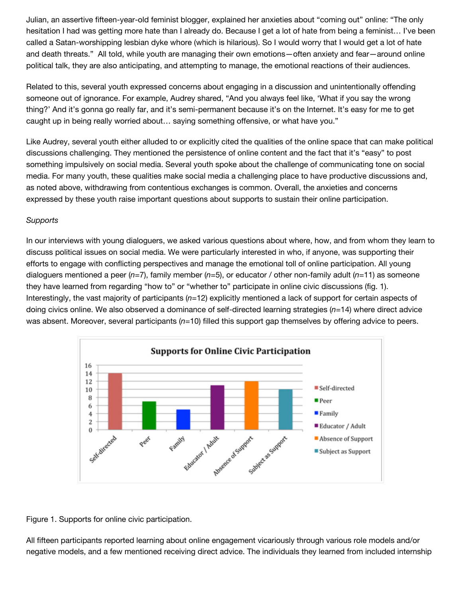Julian, an assertive fifteen-year-old feminist blogger, explained her anxieties about "coming out" online: "The only hesitation I had was getting more hate than I already do. Because I get a lot of hate from being a feminist… I've been called a Satan-worshipping lesbian dyke whore (which is hilarious). So I would worry that I would get a lot of hate and death threats." All told, while youth are managing their own emotions—often anxiety and fear—around online political talk, they are also anticipating, and attempting to manage, the emotional reactions of their audiences.

Related to this, several youth expressed concerns about engaging in a discussion and unintentionally offending someone out of ignorance. For example, Audrey shared, "And you always feel like, 'What if you say the wrong thing?' And it's gonna go really far, and it's semi-permanent because it's on the Internet. It's easy for me to get caught up in being really worried about… saying something offensive, or what have you."

Like Audrey, several youth either alluded to or explicitly cited the qualities of the online space that can make political discussions challenging. They mentioned the persistence of online content and the fact that it's "easy" to post something impulsively on social media. Several youth spoke about the challenge of communicating tone on social media. For many youth, these qualities make social media a challenging place to have productive discussions and, as noted above, withdrawing from contentious exchanges is common. Overall, the anxieties and concerns expressed by these youth raise important questions about supports to sustain their online participation.

#### *Supports*

In our interviews with young dialoguers, we asked various questions about where, how, and from whom they learn to discuss political issues on social media. We were particularly interested in who, if anyone, was supporting their efforts to engage with conflicting perspectives and manage the emotional toll of online participation. All young dialoguers mentioned a peer (*n*=7), family member (*n*=5), or educator / other non-family adult (*n*=11) as someone they have learned from regarding "how to" or "whether to" participate in online civic discussions (fig. 1). Interestingly, the vast majority of participants (*n*=12) explicitly mentioned a lack of support for certain aspects of doing civics online. We also observed a dominance of self-directed learning strategies (*n*=14) where direct advice was absent. Moreover, several participants (*n*=10) filled this support gap themselves by offering advice to peers.





All fifteen participants reported learning about online engagement vicariously through various role models and/or negative models, and a few mentioned receiving direct advice. The individuals they learned from included internship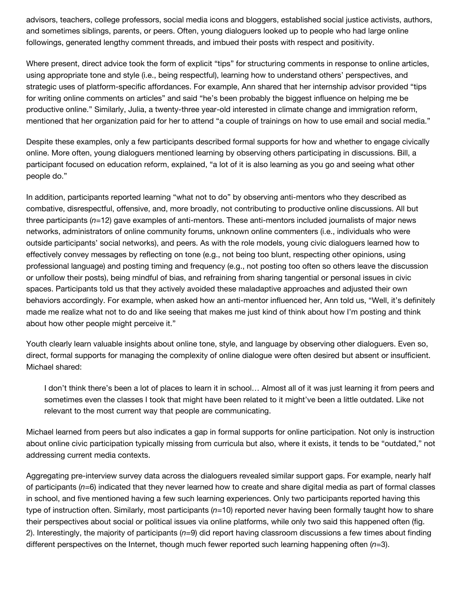advisors, teachers, college professors, social media icons and bloggers, established social justice activists, authors, and sometimes siblings, parents, or peers. Often, young dialoguers looked up to people who had large online followings, generated lengthy comment threads, and imbued their posts with respect and positivity.

Where present, direct advice took the form of explicit "tips" for structuring comments in response to online articles, using appropriate tone and style (i.e., being respectful), learning how to understand others' perspectives, and strategic uses of platform-specific affordances. For example, Ann shared that her internship advisor provided "tips for writing online comments on articles" and said "he's been probably the biggest influence on helping me be productive online." Similarly, Julia, a twenty-three year-old interested in climate change and immigration reform, mentioned that her organization paid for her to attend "a couple of trainings on how to use email and social media."

Despite these examples, only a few participants described formal supports for how and whether to engage civically online. More often, young dialoguers mentioned learning by observing others participating in discussions. Bill, a participant focused on education reform, explained, "a lot of it is also learning as you go and seeing what other people do."

In addition, participants reported learning "what not to do" by observing anti-mentors who they described as combative, disrespectful, offensive, and, more broadly, not contributing to productive online discussions. All but three participants (*n*=12) gave examples of anti-mentors. These anti-mentors included journalists of major news networks, administrators of online community forums, unknown online commenters (i.e., individuals who were outside participants' social networks), and peers. As with the role models, young civic dialoguers learned how to effectively convey messages by reflecting on tone (e.g., not being too blunt, respecting other opinions, using professional language) and posting timing and frequency (e.g., not posting too often so others leave the discussion or unfollow their posts), being mindful of bias, and refraining from sharing tangential or personal issues in civic spaces. Participants told us that they actively avoided these maladaptive approaches and adjusted their own behaviors accordingly. For example, when asked how an anti-mentor influenced her, Ann told us, "Well, it's definitely made me realize what not to do and like seeing that makes me just kind of think about how I'm posting and think about how other people might perceive it."

Youth clearly learn valuable insights about online tone, style, and language by observing other dialoguers. Even so, direct, formal supports for managing the complexity of online dialogue were often desired but absent or insufficient. Michael shared:

I don't think there's been a lot of places to learn it in school… Almost all of it was just learning it from peers and sometimes even the classes I took that might have been related to it might've been a little outdated. Like not relevant to the most current way that people are communicating.

Michael learned from peers but also indicates a gap in formal supports for online participation. Not only is instruction about online civic participation typically missing from curricula but also, where it exists, it tends to be "outdated," not addressing current media contexts.

Aggregating pre-interview survey data across the dialoguers revealed similar support gaps. For example, nearly half of participants (*n*=6) indicated that they never learned how to create and share digital media as part of formal classes in school, and five mentioned having a few such learning experiences. Only two participants reported having this type of instruction often. Similarly, most participants (*n*=10) reported never having been formally taught how to share their perspectives about social or political issues via online platforms, while only two said this happened often (fig. 2). Interestingly, the majority of participants (*n*=9) did report having classroom discussions a few times about finding different perspectives on the Internet, though much fewer reported such learning happening often (*n*=3).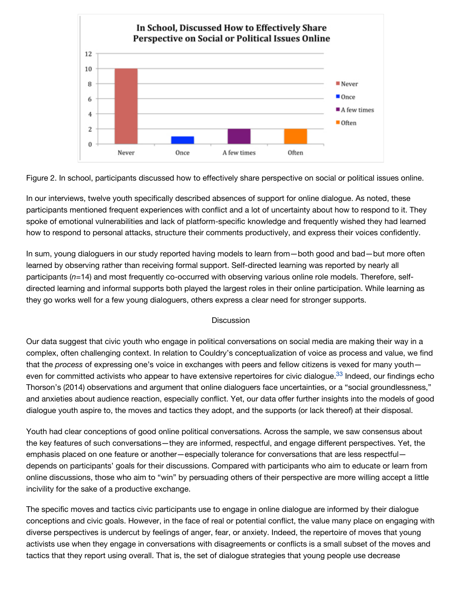

Figure 2. In school, participants discussed how to effectively share perspective on social or political issues online.

In our interviews, twelve youth specifically described absences of support for online dialogue. As noted, these participants mentioned frequent experiences with conflict and a lot of uncertainty about how to respond to it. They spoke of emotional vulnerabilities and lack of platform-specific knowledge and frequently wished they had learned how to respond to personal attacks, structure their comments productively, and express their voices confidently.

In sum, young dialoguers in our study reported having models to learn from—both good and bad—but more often learned by observing rather than receiving formal support. Self-directed learning was reported by nearly all participants (*n*=14) and most frequently co-occurred with observing various online role models. Therefore, selfdirected learning and informal supports both played the largest roles in their online participation. While learning as they go works well for a few young dialoguers, others express a clear need for stronger supports.

#### **Discussion**

Our data suggest that civic youth who engage in political conversations on social media are making their way in a complex, often challenging context. In relation to Couldry's conceptualization of voice as process and value, we find that the *process* of expressing one's voice in exchanges with peers and fellow citizens is vexed for many youth even for committed activists who appear to have extensive repertoires for civic dialogue.<sup>33</sup> Indeed, our findings echo Thorson's (2014) observations and argument that online dialoguers face uncertainties, or a "social groundlessness," and anxieties about audience reaction, especially conflict. Yet, our data offer further insights into the models of good dialogue youth aspire to, the moves and tactics they adopt, and the supports (or lack thereof) at their disposal.

Youth had clear conceptions of good online political conversations. Across the sample, we saw consensus about the key features of such conversations—they are informed, respectful, and engage different perspectives. Yet, the emphasis placed on one feature or another—especially tolerance for conversations that are less respectful depends on participants' goals for their discussions. Compared with participants who aim to educate or learn from online discussions, those who aim to "win" by persuading others of their perspective are more willing accept a little incivility for the sake of a productive exchange.

The specific moves and tactics civic participants use to engage in online dialogue are informed by their dialogue conceptions and civic goals. However, in the face of real or potential conflict, the value many place on engaging with diverse perspectives is undercut by feelings of anger, fear, or anxiety. Indeed, the repertoire of moves that young activists use when they engage in conversations with disagreements or conflicts is a small subset of the moves and tactics that they report using overall. That is, the set of dialogue strategies that young people use decrease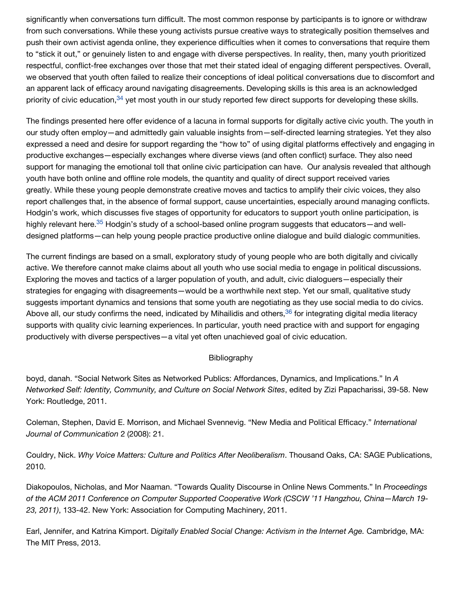significantly when conversations turn difficult. The most common response by participants is to ignore or withdraw from such conversations. While these young activists pursue creative ways to strategically position themselves and push their own activist agenda online, they experience difficulties when it comes to conversations that require them to "stick it out," or genuinely listen to and engage with diverse perspectives. In reality, then, many youth prioritized respectful, conflict-free exchanges over those that met their stated ideal of engaging different perspectives. Overall, we observed that youth often failed to realize their conceptions of ideal political conversations due to discomfort and an apparent lack of efficacy around navigating disagreements. Developing skills is this area is an acknowledged priority of civic education,<sup>34</sup> yet most youth in our study reported few direct supports for developing these skills.

The findings presented here offer evidence of a lacuna in formal supports for digitally active civic youth. The youth in our study often employ—and admittedly gain valuable insights from—self-directed learning strategies. Yet they also expressed a need and desire for support regarding the "how to" of using digital platforms effectively and engaging in productive exchanges—especially exchanges where diverse views (and often conflict) surface. They also need support for managing the emotional toll that online civic participation can have. Our analysis revealed that although youth have both online and offline role models, the quantity and quality of direct support received varies greatly. While these young people demonstrate creative moves and tactics to amplify their civic voices, they also report challenges that, in the absence of formal support, cause uncertainties, especially around managing conflicts. Hodgin's work, which discusses five stages of opportunity for educators to support youth online participation, is highly relevant here.<sup>35</sup> Hodgin's study of a school-based online program suggests that educators—and welldesigned platforms—can help young people practice productive online dialogue and build dialogic communities.

The current findings are based on a small, exploratory study of young people who are both digitally and civically active. We therefore cannot make claims about all youth who use social media to engage in political discussions. Exploring the moves and tactics of a larger population of youth, and adult, civic dialoguers—especially their strategies for engaging with disagreements—would be a worthwhile next step. Yet our small, qualitative study suggests important dynamics and tensions that some youth are negotiating as they use social media to do civics. Above all[,](http://www.jodml.org/2016/06/27/getting-into-the-fray-civic-youth-online-dialogue-and-implications-for-digital-literacy-education/#footnote-36) our study confirms the need, indicated by Mihailidis and others,<sup>36</sup> for integrating digital media literacy supports with quality civic learning experiences. In particular, youth need practice with and support for engaging productively with diverse perspectives—a vital yet often unachieved goal of civic education.

#### Bibliography

boyd, danah. "Social Network Sites as Networked Publics: Affordances, Dynamics, and Implications." In *A Networked Self: Identity, Community, and Culture on Social Network Sites*, edited by Zizi Papacharissi, 39-58. New York: Routledge, 2011.

Coleman, Stephen, David E. Morrison, and Michael Svennevig. "New Media and Political Efficacy." *International Journal of Communication* 2 (2008): 21.

Couldry, Nick. *Why Voice Matters: Culture and Politics After Neoliberalism*. Thousand Oaks, CA: SAGE Publications, 2010.

Diakopoulos, Nicholas, and Mor Naaman. "Towards Quality Discourse in Online News Comments." In *Proceedings of the ACM 2011 Conference on Computer Supported Cooperative Work (CSCW '11 Hangzhou, China—March 19- 23, 2011)*, 133-42. New York: Association for Computing Machinery, 2011.

Earl, Jennifer, and Katrina Kimport. D*igitally Enabled Social Change: Activism in the Internet Age.* Cambridge, MA: The MIT Press, 2013.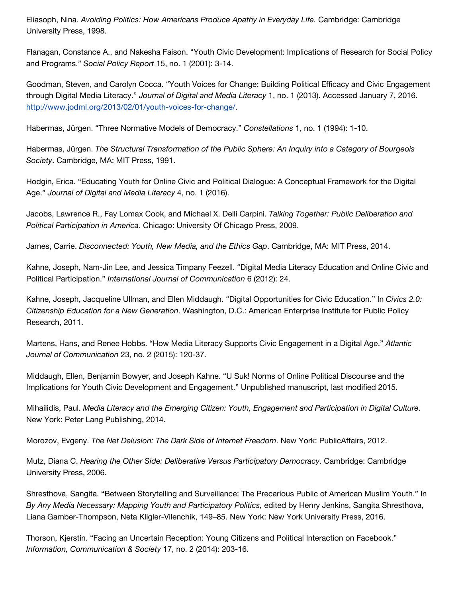Eliasoph, Nina. *Avoiding Politics: How Americans Produce Apathy in Everyday Life.* Cambridge: Cambridge University Press, 1998.

Flanagan, Constance A., and Nakesha Faison. "Youth Civic Development: Implications of Research for Social Policy and Programs." *Social Policy Report* 15, no. 1 (2001): 3-14.

Goodman, Steven, and Carolyn Cocca. "Youth Voices for Change: Building Political Efficacy and Civic Engagement through Digital Media Literacy." *Journal of Digital and Media Literacy* 1, no. 1 (2013). Accessed January 7, 2016. [http://www.jodml.org/2013/02/01/youth-voices-for-change/.](http://www.jodml.org/2013/02/01/youth-voices-for-change/)

Habermas, Jürgen. "Three Normative Models of Democracy." *Constellations* 1, no. 1 (1994): 1-10.

Habermas, Jürgen. *The Structural Transformation of the Public Sphere: An Inquiry into a Category of Bourgeois Society*. Cambridge, MA: MIT Press, 1991.

Hodgin, Erica. "Educating Youth for Online Civic and Political Dialogue: A Conceptual Framework for the Digital Age." *Journal of Digital and Media Literacy* 4, no. 1 (2016).

Jacobs, Lawrence R., Fay Lomax Cook, and Michael X. Delli Carpini. *Talking Together: Public Deliberation and Political Participation in America*. Chicago: University Of Chicago Press, 2009.

James, Carrie. *Disconnected: Youth, New Media, and the Ethics Gap*. Cambridge, MA: MIT Press, 2014.

Kahne, Joseph, Nam-Jin Lee, and Jessica Timpany Feezell. "Digital Media Literacy Education and Online Civic and Political Participation." *International Journal of Communication* 6 (2012): 24.

Kahne, Joseph, Jacqueline Ullman, and Ellen Middaugh. "Digital Opportunities for Civic Education." In *Civics 2.0: Citizenship Education for a New Generation*. Washington, D.C.: American Enterprise Institute for Public Policy Research, 2011.

Martens, Hans, and Renee Hobbs. "How Media Literacy Supports Civic Engagement in a Digital Age." *Atlantic Journal of Communication* 23, no. 2 (2015): 120-37.

Middaugh, Ellen, Benjamin Bowyer, and Joseph Kahne. "U Suk! Norms of Online Political Discourse and the Implications for Youth Civic Development and Engagement." Unpublished manuscript, last modified 2015.

Mihailidis, Paul. *Media Literacy and the Emerging Citizen: Youth, Engagement and Participation in Digital Culture*. New York: Peter Lang Publishing, 2014.

Morozov, Evgeny. *The Net Delusion: The Dark Side of Internet Freedom*. New York: PublicAffairs, 2012.

Mutz, Diana C. *Hearing the Other Side: Deliberative Versus Participatory Democracy*. Cambridge: Cambridge University Press, 2006.

Shresthova, Sangita. "Between Storytelling and Surveillance: The Precarious Public of American Muslim Youth." In *By Any Media Necessary: Mapping Youth and Participatory Politics,* edited by Henry Jenkins, Sangita Shresthova, Liana Gamber-Thompson, Neta Kligler-Vilenchik, 149–85. New York: New York University Press, 2016.

Thorson, Kjerstin. "Facing an Uncertain Reception: Young Citizens and Political Interaction on Facebook." *Information, Communication & Society* 17, no. 2 (2014): 203-16.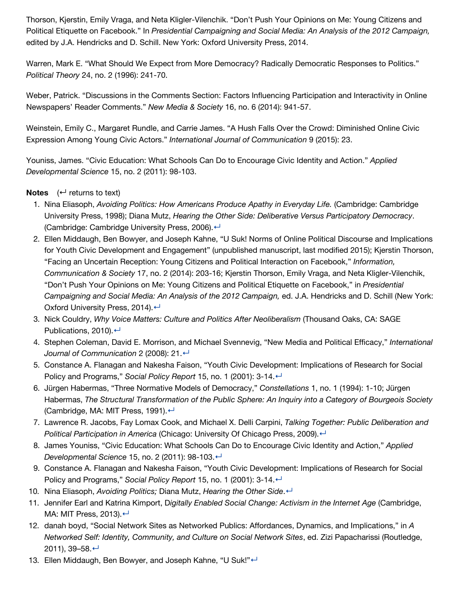Thorson, Kjerstin, Emily Vraga, and Neta Kligler-Vilenchik. "Don't Push Your Opinions on Me: Young Citizens and Political Etiquette on Facebook." In *Presidential Campaigning and Social Media: An Analysis of the 2012 Campaign,* edited by J.A. Hendricks and D. Schill. New York: Oxford University Press, 2014.

Warren, Mark E. "What Should We Expect from More Democracy? Radically Democratic Responses to Politics." *Political Theory* 24, no. 2 (1996): 241-70.

Weber, Patrick. "Discussions in the Comments Section: Factors Influencing Participation and Interactivity in Online Newspapers' Reader Comments." *New Media & Society* 16, no. 6 (2014): 941-57.

Weinstein, Emily C., Margaret Rundle, and Carrie James. "A Hush Falls Over the Crowd: Diminished Online Civic Expression Among Young Civic Actors." *International Journal of Communication* 9 (2015): 23.

Youniss, James. "Civic Education: What Schools Can Do to Encourage Civic Identity and Action." *Applied Developmental Science* 15, no. 2 (2011): 98-103.

### **Notes**  $($  $\leftarrow$  returns to text)

- 1. Nina Eliasoph, *Avoiding Politics: How Americans Produce Apathy in Everyday Life.* (Cambridge: Cambridge University Press, 1998); Diana Mutz, *Hearing the Other Side: Deliberative Versus Participatory Democracy*. (Cambridge: Cambridge University Press, 2006). ←
- 2. Ellen Middaugh, Ben Bowyer, and Joseph Kahne, "U Suk! Norms of Online Political Discourse and Implications for Youth Civic Development and Engagement" (unpublished manuscript, last modified 2015); Kjerstin Thorson, "Facing an Uncertain Reception: Young Citizens and Political Interaction on Facebook," *Information, Communication & Society* 17, no. 2 (2014): 203-16; Kjerstin Thorson, Emily Vraga, and Neta Kligler-Vilenchik, "Don't Push Your Opinions on Me: Young Citizens and Political Etiquette on Facebook," in *Presidential Campaigning and Social Media: An Analysis of the 2012 Campaign,* ed. J.A. Hendricks and D. Schill (New York: Oxford University Press, 2014). <
- 3. Nick Couldry, *Why Voice Matters: Culture and Politics After Neoliberalism* (Thousand Oaks, CA: SAGE Publications, 2010). ←
- 4. Stephen Coleman, David E. Morrison, and Michael Svennevig, "New Media and Political Efficacy," *International Journal of Communication* 2 (2008): 21. ←
- 5. Constance A. Flanagan and Nakesha Faison, "Youth Civic Development: Implications of Research for Social Policy and Programs," *Social Policy Report* 15, no. 1 (2001): 3-14. ←
- 6. Jürgen Habermas, "Three Normative Models of Democracy," *Constellations* 1, no. 1 (1994): 1-10; Jürgen Habermas, *The Structural Transformation of the Public Sphere: An Inquiry into a Category of Bourgeois Society* (Cambridge, MA: MIT Press, 1991). ←
- 7. Lawrence R. Jacobs, Fay Lomax Cook, and Michael X. Delli Carpini, *Talking Together: Public Deliberation and Political Participation in America* (Chicago: University Of Chicago Press, 2009). ←
- 8. James Youniss, "Civic Education: What Schools Can Do to Encourage Civic Identity and Action," *Applied Developmental Science* 15, no. 2 (2011): 98-103.[↵](http://www.jodml.org/2016/06/27/getting-into-the-fray-civic-youth-online-dialogue-and-implications-for-digital-literacy-education/#refmark-8)
- 9. Constance A. Flanagan and Nakesha Faison, "Youth Civic Development: Implications of Research for Social Policy and Programs," *Social Policy Report* 15, no. 1 (2001): 3-14.[↵](http://www.jodml.org/2016/06/27/getting-into-the-fray-civic-youth-online-dialogue-and-implications-for-digital-literacy-education/#refmark-9)
- 10. Nina Eliasoph, *Avoiding Politics;* Diana Mutz, *Hearing the Other Side*.[↵](http://www.jodml.org/2016/06/27/getting-into-the-fray-civic-youth-online-dialogue-and-implications-for-digital-literacy-education/#refmark-10)
- 11. Jennifer Earl and Katrina Kimport, D*igitally Enabled Social Change: Activism in the Internet Age* (Cambridge, MA: MIT Press, 2013). $\leftarrow$
- 12. danah boyd, "Social Network Sites as Networked Publics: Affordances, Dynamics, and Implications," in *A Networked Self: Identity, Community, and Culture on Social Network Sites*, ed. Zizi Papacharissi (Routledge, 2011), 39–58.[↵](http://www.jodml.org/2016/06/27/getting-into-the-fray-civic-youth-online-dialogue-and-implications-for-digital-literacy-education/#refmark-12)
- 13. Ellen Middaugh, Ben Bowyer, and Joseph Kahne, "U Suk!"←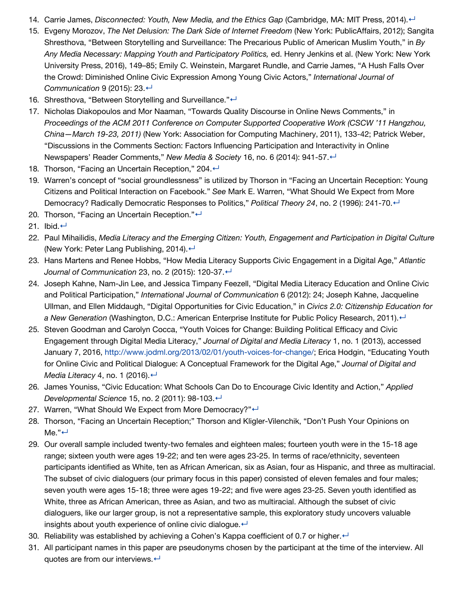- 14. Carrie James, *Disconnected: Youth, New Media, and the Ethics Gap (Cambridge, MA: MIT Press, 2014).*←
- 15. Evgeny Morozov, *The Net Delusion: The Dark Side of Internet Freedom* (New York: PublicAffairs, 2012); Sangita Shresthova, "Between Storytelling and Surveillance: The Precarious Public of American Muslim Youth," in *By Any Media Necessary: Mapping Youth and Participatory Politics,* ed. Henry Jenkins et al. (New York: New York University Press, 2016), 149–85; Emily C. Weinstein, Margaret Rundle, and Carrie James, "A Hush Falls Over the Crowd: Diminished Online Civic Expression Among Young Civic Actors," *International Journal of Communication* 9 (2015): 23.[↵](http://www.jodml.org/2016/06/27/getting-into-the-fray-civic-youth-online-dialogue-and-implications-for-digital-literacy-education/#refmark-15)
- 16. Shresthova, "Between Storytelling and Surveillance."←
- 17. Nicholas Diakopoulos and Mor Naaman, "Towards Quality Discourse in Online News Comments," in *Proceedings of the ACM 2011 Conference on Computer Supported Cooperative Work (CSCW '11 Hangzhou, China—March 19-23, 2011)* (New York: Association for Computing Machinery, 2011), 133-42; Patrick Weber, "Discussions in the Comments Section: Factors Influencing Participation and Interactivity in Online Newspapers' Reader Comments," *New Media & Society* 16, no. 6 (2014): 941-57.[↵](http://www.jodml.org/2016/06/27/getting-into-the-fray-civic-youth-online-dialogue-and-implications-for-digital-literacy-education/#refmark-17)
- 18. Thorson, "Facing an Uncertain Reception," 204. ←
- 19. Warren's concept of "social groundlessness" is utilized by Thorson in "Facing an Uncertain Reception: Young Citizens and Political Interaction on Facebook." *See* Mark E. Warren, "What Should We Expect from More Democracy? Radically Democratic Responses to Politics," *Political Theory 24*, no. 2 (1996): 241-70. ←
- 20. Thorson, "Facing an Uncertain Reception."←
- 21. Ibid.[↵](http://www.jodml.org/2016/06/27/getting-into-the-fray-civic-youth-online-dialogue-and-implications-for-digital-literacy-education/#refmark-21)
- 22. Paul Mihailidis, *Media Literacy and the Emerging Citizen: Youth, Engagement and Participation in Digital Culture* (New York: Peter Lang Publishing, 2014). $\leftarrow$
- 23. Hans Martens and Renee Hobbs, "How Media Literacy Supports Civic Engagement in a Digital Age," *Atlantic Journal of Communication* 23, no. 2 (2015): 120-37 ↔
- 24. Joseph Kahne, Nam-Jin Lee, and Jessica Timpany Feezell, "Digital Media Literacy Education and Online Civic and Political Participation," *International Journal of Communication* 6 (2012): 24; Joseph Kahne, Jacqueline Ullman, and Ellen Middaugh, "Digital Opportunities for Civic Education," in *Civics 2.0: Citizenship Education for a New Generation* (Washington, D.C.: American Enterprise Institute for Public Policy Research, 2011). ←
- 25. Steven Goodman and Carolyn Cocca, "Youth Voices for Change: Building Political Efficacy and Civic Engagement through Digital Media Literacy," *Journal of Digital and Media Literacy* 1, no. 1 (2013), accessed January 7, 2016, <http://www.jodml.org/2013/02/01/youth-voices-for-change/>; Erica Hodgin, "Educating Youth for Online Civic and Political Dialogue: A Conceptual Framework for the Digital Age," *Journal of Digital and Media Literacy* 4, no. 1 (2016). ←
- 26. James Youniss, "Civic Education: What Schools Can Do to Encourage Civic Identity and Action," *Applied Developmental Science* 15, no. 2 (2011): 98-103.[↵](http://www.jodml.org/2016/06/27/getting-into-the-fray-civic-youth-online-dialogue-and-implications-for-digital-literacy-education/#refmark-26)
- 27. Warren, "What Should We Expect from More Democracy?" $\leftarrow$
- 28. Thorson, "Facing an Uncertain Reception;" Thorson and Kligler-Vilenchik, "Don't Push Your Opinions on Me."[↵](http://www.jodml.org/2016/06/27/getting-into-the-fray-civic-youth-online-dialogue-and-implications-for-digital-literacy-education/#refmark-28)
- 29. Our overall sample included twenty-two females and eighteen males; fourteen youth were in the 15-18 age range; sixteen youth were ages 19-22; and ten were ages 23-25. In terms of race/ethnicity, seventeen participants identified as White, ten as African American, six as Asian, four as Hispanic, and three as multiracial. The subset of civic dialoguers (our primary focus in this paper) consisted of eleven females and four males; seven youth were ages 15-18; three were ages 19-22; and five were ages 23-25. Seven youth identified as White, three as African American, three as Asian, and two as multiracial. Although the subset of civic dialoguers, like our larger group, is not a representative sample, this exploratory study uncovers valuable insights about youth experience of online civic dialogue. $\leftarrow$
- 30. Reliability was established by achieving a Cohen's Kappa coefficient of 0.7 or higher. ←
- 31. All participant names in this paper are pseudonyms chosen by the participant at the time of the interview. All quotes are from our interviews. $\leftarrow$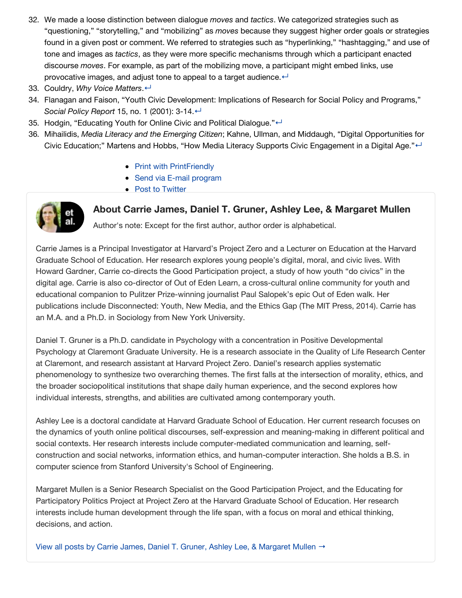- 32. We made a loose distinction between dialogue *moves* and *tactics*. We categorized strategies such as "questioning," "storytelling," and "mobilizing" as *moves* because they suggest higher order goals or strategies found in a given post or comment. We referred to strategies such as "hyperlinking," "hashtagging," and use of tone and images as *tactics*, as they were more specific mechanisms through which a participant enacted discourse *moves*. For example, as part of the mobilizing move, a participant might embed links, use provocative images, and adjust tone to appeal to a target audience. $\leftarrow$
- 33. Couldry, *Why Voice Matters*.[↵](http://www.jodml.org/2016/06/27/getting-into-the-fray-civic-youth-online-dialogue-and-implications-for-digital-literacy-education/#refmark-33)
- 34. Flanagan and Faison, "Youth Civic Development: Implications of Research for Social Policy and Programs," *Social Policy Report* 15, no. 1 (2001): 3-14.[↵](http://www.jodml.org/2016/06/27/getting-into-the-fray-civic-youth-online-dialogue-and-implications-for-digital-literacy-education/#refmark-34)
- 35. Hodgin, "Educating Youth for Online Civic and Political Dialogue."←
- 36. Mihailidis, *Media Literacy and the Emerging Citizen*; Kahne, Ullman, and Middaugh, "Digital Opportunities for Civic Education;" Martens and Hobbs, "How Media Literacy Supports Civic Engagement in a Digital Age."←
	- [Print with PrintFriendly](http://www.shareaholic.com/api/share/?title=Getting+Into+the+Fray%3A++Civic+Youth%2C+Online+Dialogue%2C+and+Implications+for+Digital+Literacy+Education&link=http%3A%2F%2Fwww.jodml.org%2F2016%2F06%2F27%2Fgetting-into-the-fray-civic-youth-online-dialogue-and-implications-for-digital-literacy-education%2F¬es=&short_link=&shortener=bitly&shortener_key=theknightschool%2525257CR_b9453fe45477867e33803283e9a9afff&v=1&apitype=1&apikey=8afa39428933be41f8afdb8ea21a495c&source=Shareaholic-Publishers&template=&service=236&ctype=)
	- [Send via E-mail program](http://www.shareaholic.com/api/share/?title=Getting+Into+the+Fray%3A++Civic+Youth%2C+Online+Dialogue%2C+and+Implications+for+Digital+Literacy+Education&link=http%3A%2F%2Fwww.jodml.org%2F2016%2F06%2F27%2Fgetting-into-the-fray-civic-youth-online-dialogue-and-implications-for-digital-literacy-education%2F¬es=&short_link=&shortener=bitly&shortener_key=theknightschool%2525257CR_b9453fe45477867e33803283e9a9afff&v=1&apitype=1&apikey=8afa39428933be41f8afdb8ea21a495c&source=Shareaholic-Publishers&template=&service=201&ctype=)
	- [Post to Twitter](http://www.shareaholic.com/api/share/?title=Getting+Into+the+Fray%3A++Civic+Youth%2C+Online+Dialogue%2C+and+Implications+for+Digital+Literacy+Education&link=http%3A%2F%2Fwww.jodml.org%2F2016%2F06%2F27%2Fgetting-into-the-fray-civic-youth-online-dialogue-and-implications-for-digital-literacy-education%2F¬es=&short_link=&shortener=bitly&shortener_key=theknightschool%2525257CR_b9453fe45477867e33803283e9a9afff&v=1&apitype=1&apikey=8afa39428933be41f8afdb8ea21a495c&source=Shareaholic-Publishers&template=%2524%257Btitle%257D%2B-%2B%2524%257Bshort_link%257D%2Bvia%2B%2540jodml&service=7&ctype=)



About Carrie James, Daniel T. Gruner, Ashley Lee, & Margaret Mullen

Author's note: Except for the first author, author order is alphabetical.

Carrie James is a Principal Investigator at Harvard's Project Zero and a Lecturer on Education at the Harvard Graduate School of Education. Her research explores young people's digital, moral, and civic lives. With Howard Gardner, Carrie co-directs the Good Participation project, a study of how youth "do civics" in the digital age. Carrie is also co-director of Out of Eden Learn, a cross-cultural online community for youth and educational companion to Pulitzer Prize-winning journalist Paul Salopek's epic Out of Eden walk. Her publications include Disconnected: Youth, New Media, and the Ethics Gap (The MIT Press, 2014). Carrie has an M.A. and a Ph.D. in Sociology from New York University.

Daniel T. Gruner is a Ph.D. candidate in Psychology with a concentration in Positive Developmental Psychology at Claremont Graduate University. He is a research associate in the Quality of Life Research Center at Claremont, and research assistant at Harvard Project Zero. Daniel's research applies systematic phenomenology to synthesize two overarching themes. The first falls at the intersection of morality, ethics, and the broader sociopolitical institutions that shape daily human experience, and the second explores how individual interests, strengths, and abilities are cultivated among contemporary youth.

Ashley Lee is a doctoral candidate at Harvard Graduate School of Education. Her current research focuses on the dynamics of youth online political discourses, self-expression and meaning-making in different political and social contexts. Her research interests include computer-mediated communication and learning, selfconstruction and social networks, information ethics, and human-computer interaction. She holds a B.S. in computer science from Stanford University's School of Engineering.

Margaret Mullen is a Senior Research Specialist on the Good Participation Project, and the Educating for Participatory Politics Project at Project Zero at the Harvard Graduate School of Education. Her research interests include human development through the life span, with a focus on moral and ethical thinking, decisions, and action.

[View all posts by Carrie James, Daniel T. Gruner, Ashley Lee, & Margaret Mullen](http://www.jodml.org/author/carriejamesetal/) →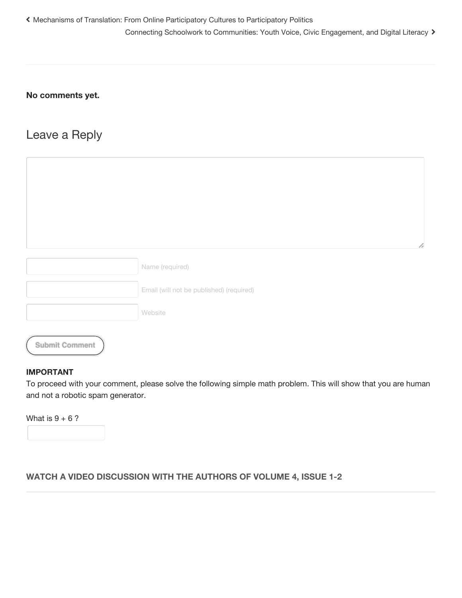## **No comments yet.**

# Leave a Reply

|                       | h                                        |
|-----------------------|------------------------------------------|
|                       | Name (required)                          |
|                       | Email (will not be published) (required) |
|                       | Website                                  |
| <b>Submit Comment</b> |                                          |

#### **IMPORTANT**

To proceed with your comment, please solve the following simple math problem. This will show that you are human and not a robotic spam generator.

What is  $9 + 6$ ?

# **WATCH A VIDEO DISCUSSION WITH THE AUTHORS OF VOLUME 4, ISSUE 1-2**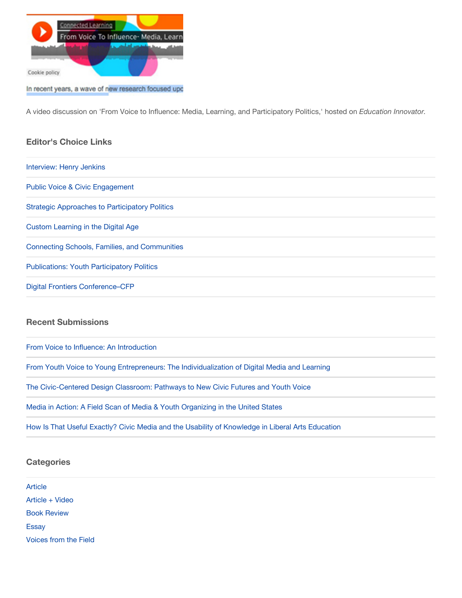

In recent years, a wave of new research focused upo

A video discussion on 'From Voice to Influence: Media, Learning, and Participatory Politics,' hosted on *Education Innovator.*

#### **Editor's Choice Links**

[Interview: Henry Jenkins](http://dmlcentral.net/henry-jenkins-on-participatory-media-in-a-networked-era-part-1/) [Public Voice & Civic Engagement](http://wiki.dbast.com/images/4/4b/Using_Participatory_Media_and_Public_Voice_to_Encourage.pdf) [Strategic Approaches to Participatory Politics](http://ypp.dmlcentral.net/sites/default/files/publications/YPP_WorkinPaper_02.pdf) [Custom Learning in the Digital Age](http://americanradioworks.publicradio.org/features/personalized-learning/) [Connecting Schools, Families, and Communities](http://www.aecf.org/resources/connecting-schools-families-communities/) [Publications: Youth Participatory Politics](http://ypp.dmlcentral.net/publications) [Digital Frontiers Conference–CFP](http://disco.unt.edu/cfp2013)

#### **Recent Submissions**

[From Voice to Influence: An Introduction](http://www.jodml.org/2016/06/27/from-voice-to-influence-an-introduction/)

[From Youth Voice to Young Entrepreneurs: The Individualization of Digital Media and Learning](http://www.jodml.org/2016/06/27/from-youth-voice-to-young-entrepreneurs-the-individualization-of-digital-media-and-learning/)

[The Civic-Centered Design Classroom: Pathways to New Civic Futures and Youth Voice](http://www.jodml.org/2016/06/27/the-civic-centered-design-classroom-pathways-to-new-civic-futures-and-youth-voice/)

[Media in Action: A Field Scan of Media & Youth Organizing in the United States](http://www.jodml.org/2016/06/27/media-in-action-a-field-scan-of-media-youth-organizing-in-the-united-states/)

[How Is That Useful Exactly? Civic Media and the Usability of Knowledge in Liberal Arts Education](http://www.jodml.org/2016/06/27/how-is-that-useful-exactly-civic-media-and-the-usability-of-knowledge-in-liberal-arts-education/)

#### **Categories**

| Article               |  |
|-----------------------|--|
| Article + Video       |  |
| <b>Book Review</b>    |  |
| <b>Essay</b>          |  |
| Voices from the Field |  |